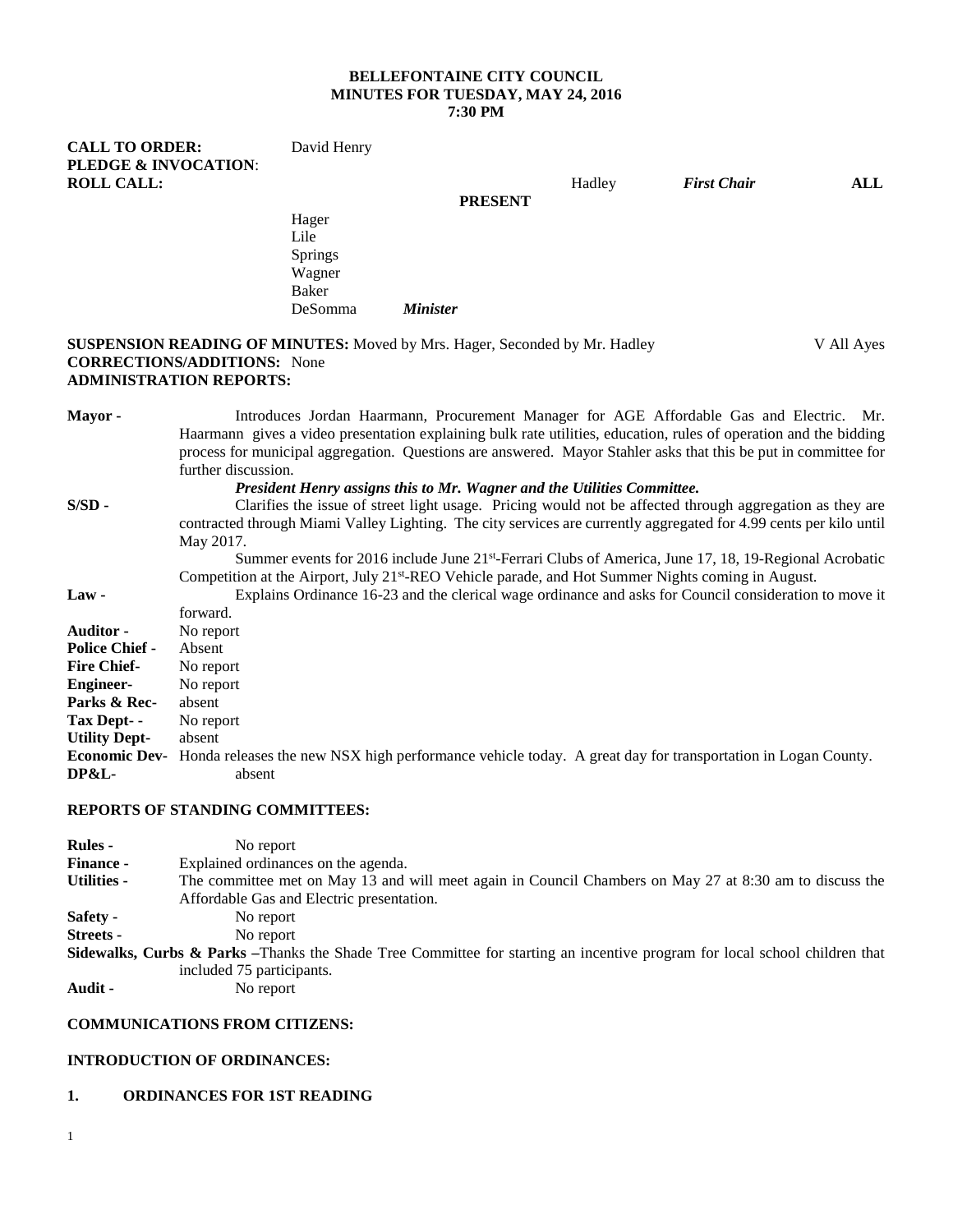### **BELLEFONTAINE CITY COUNCIL MINUTES FOR TUESDAY, MAY 24, 2016 7:30 PM**

| <b>CALL TO ORDER:</b>                                                             | David Henry    |                 |  |        |                    |            |
|-----------------------------------------------------------------------------------|----------------|-----------------|--|--------|--------------------|------------|
| <b>PLEDGE &amp; INVOCATION:</b>                                                   |                |                 |  |        |                    |            |
| <b>ROLL CALL:</b>                                                                 |                |                 |  | Hadley | <b>First Chair</b> | ALL        |
|                                                                                   | <b>PRESENT</b> |                 |  |        |                    |            |
|                                                                                   | Hager          |                 |  |        |                    |            |
|                                                                                   | Lile           |                 |  |        |                    |            |
|                                                                                   | <b>Springs</b> |                 |  |        |                    |            |
|                                                                                   | Wagner         |                 |  |        |                    |            |
|                                                                                   | Baker          |                 |  |        |                    |            |
|                                                                                   | DeSomma        | <b>Minister</b> |  |        |                    |            |
| <b>SUSPENSION READING OF MINUTES:</b> Moved by Mrs. Hager, Seconded by Mr. Hadley |                |                 |  |        |                    | V All Aves |

#### **SUSPENSION READING OF MINUTES:** Moved by Mrs. Hager, Seconded by Mr. Hadley V All Ayes **CORRECTIONS/ADDITIONS:** None **ADMINISTRATION REPORTS:**

| Mayor -               | Introduces Jordan Haarmann, Procurement Manager for AGE Affordable Gas and Electric. Mr.                                        |
|-----------------------|---------------------------------------------------------------------------------------------------------------------------------|
|                       | Haarmann gives a video presentation explaining bulk rate utilities, education, rules of operation and the bidding               |
|                       | process for municipal aggregation. Questions are answered. Mayor Stahler asks that this be put in committee for                 |
|                       | further discussion.                                                                                                             |
|                       | President Henry assigns this to Mr. Wagner and the Utilities Committee.                                                         |
| $S/SD -$              | Clarifies the issue of street light usage. Pricing would not be affected through aggregation as they are                        |
|                       | contracted through Miami Valley Lighting. The city services are currently aggregated for 4.99 cents per kilo until              |
|                       | May 2017.                                                                                                                       |
|                       | Summer events for 2016 include June $21^{st}$ -Ferrari Clubs of America, June 17, 18, 19-Regional Acrobatic                     |
|                       | Competition at the Airport, July 21 <sup>st</sup> -REO Vehicle parade, and Hot Summer Nights coming in August.                  |
| $Law -$               | Explains Ordinance 16-23 and the clerical wage ordinance and asks for Council consideration to move it                          |
|                       | forward.                                                                                                                        |
| <b>Auditor -</b>      | No report                                                                                                                       |
| <b>Police Chief -</b> | Absent                                                                                                                          |
| <b>Fire Chief-</b>    | No report                                                                                                                       |
| <b>Engineer-</b>      | No report                                                                                                                       |
| Parks & Rec-          | absent                                                                                                                          |
| Tax Dept- -           | No report                                                                                                                       |
| <b>Utility Dept-</b>  | absent                                                                                                                          |
|                       | <b>Economic Dev-</b> Honda releases the new NSX high performance vehicle today. A great day for transportation in Logan County. |
| DP&L-                 | absent                                                                                                                          |
|                       |                                                                                                                                 |

#### **REPORTS OF STANDING COMMITTEES:**

| <b>Rules</b> -     | No report                                                                                                                             |
|--------------------|---------------------------------------------------------------------------------------------------------------------------------------|
| <b>Finance -</b>   | Explained ordinances on the agenda.                                                                                                   |
| <b>Utilities -</b> | The committee met on May 13 and will meet again in Council Chambers on May 27 at 8:30 am to discuss the                               |
|                    | Affordable Gas and Electric presentation.                                                                                             |
| Safety -           | No report                                                                                                                             |
| <b>Streets</b> -   | No report                                                                                                                             |
|                    | <b>Sidewalks, Curbs &amp; Parks</b> –Thanks the Shade Tree Committee for starting an incentive program for local school children that |
|                    | included 75 participants.                                                                                                             |
| Audit -            | No report                                                                                                                             |

# **COMMUNICATIONS FROM CITIZENS:**

#### **INTRODUCTION OF ORDINANCES:**

# **1. ORDINANCES FOR 1ST READING**

1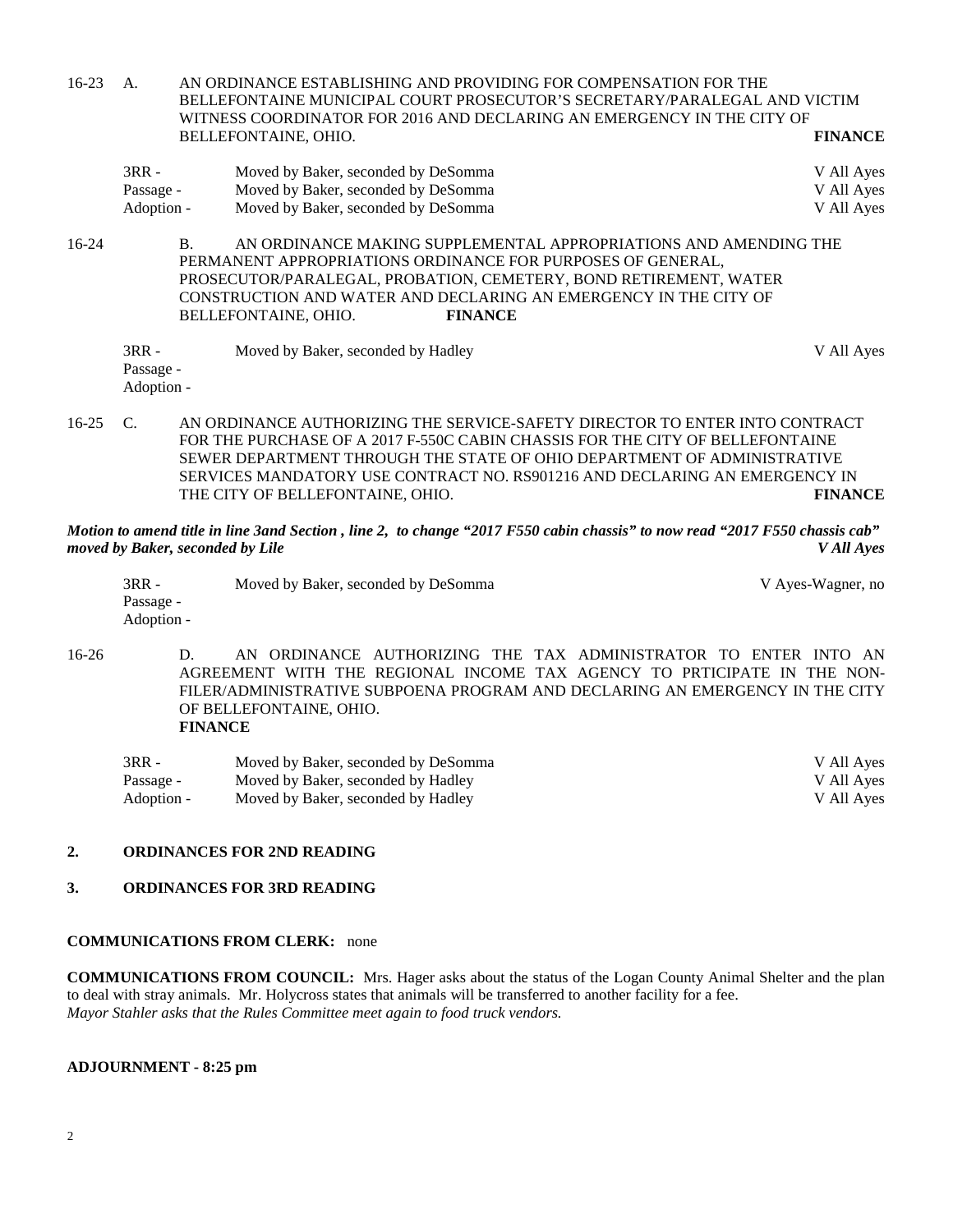16-23 A. AN ORDINANCE ESTABLISHING AND PROVIDING FOR COMPENSATION FOR THE BELLEFONTAINE MUNICIPAL COURT PROSECUTOR'S SECRETARY/PARALEGAL AND VICTIM WITNESS COORDINATOR FOR 2016 AND DECLARING AN EMERGENCY IN THE CITY OF BELLEFONTAINE. OHIO. BELLEFONTAINE, OHIO. 3RR - Moved by Baker, seconded by DeSomma V All Ayes Passage - Moved by Baker, seconded by DeSomma  $V$  All Ayes Adoption - Moved by Baker, seconded by DeSomma V All Ayes 16-24 B. AN ORDINANCE MAKING SUPPLEMENTAL APPROPRIATIONS AND AMENDING THE PERMANENT APPROPRIATIONS ORDINANCE FOR PURPOSES OF GENERAL, PROSECUTOR/PARALEGAL, PROBATION, CEMETERY, BOND RETIREMENT, WATER CONSTRUCTION AND WATER AND DECLARING AN EMERGENCY IN THE CITY OF BELLEFONTAINE, OHIO. **FINANCE** 3RR - Moved by Baker, seconded by Hadley V All Ayes Passage -

- Adoption -
- 16-25 C. AN ORDINANCE AUTHORIZING THE SERVICE-SAFETY DIRECTOR TO ENTER INTO CONTRACT FOR THE PURCHASE OF A 2017 F-550C CABIN CHASSIS FOR THE CITY OF BELLEFONTAINE SEWER DEPARTMENT THROUGH THE STATE OF OHIO DEPARTMENT OF ADMINISTRATIVE SERVICES MANDATORY USE CONTRACT NO. RS901216 AND DECLARING AN EMERGENCY IN THE CITY OF BELLEFONTAINE, OHIO. **FINANCE**

*Motion to amend title in line 3and Section , line 2, to change "2017 F550 cabin chassis" to now read "2017 F550 chassis cab" moved by Baker, seconded by Lile V All Ayes*

| $3RR -$    | Moved by Baker, seconded by DeSomma | V Ayes-Wagner, no |
|------------|-------------------------------------|-------------------|
| Passage -  |                                     |                   |
| Adoption - |                                     |                   |

16-26 D. AN ORDINANCE AUTHORIZING THE TAX ADMINISTRATOR TO ENTER INTO AN AGREEMENT WITH THE REGIONAL INCOME TAX AGENCY TO PRTICIPATE IN THE NON-FILER/ADMINISTRATIVE SUBPOENA PROGRAM AND DECLARING AN EMERGENCY IN THE CITY OF BELLEFONTAINE, OHIO. **FINANCE**

| $3RR -$    | Moved by Baker, seconded by DeSomma | V All Aves |
|------------|-------------------------------------|------------|
| Passage -  | Moved by Baker, seconded by Hadley  | V All Ayes |
| Adoption - | Moved by Baker, seconded by Hadley  | V All Aves |

## **2. ORDINANCES FOR 2ND READING**

## **3. ORDINANCES FOR 3RD READING**

### **COMMUNICATIONS FROM CLERK:** none

**COMMUNICATIONS FROM COUNCIL:** Mrs. Hager asks about the status of the Logan County Animal Shelter and the plan to deal with stray animals. Mr. Holycross states that animals will be transferred to another facility for a fee. *Mayor Stahler asks that the Rules Committee meet again to food truck vendors.*

#### **ADJOURNMENT - 8:25 pm**